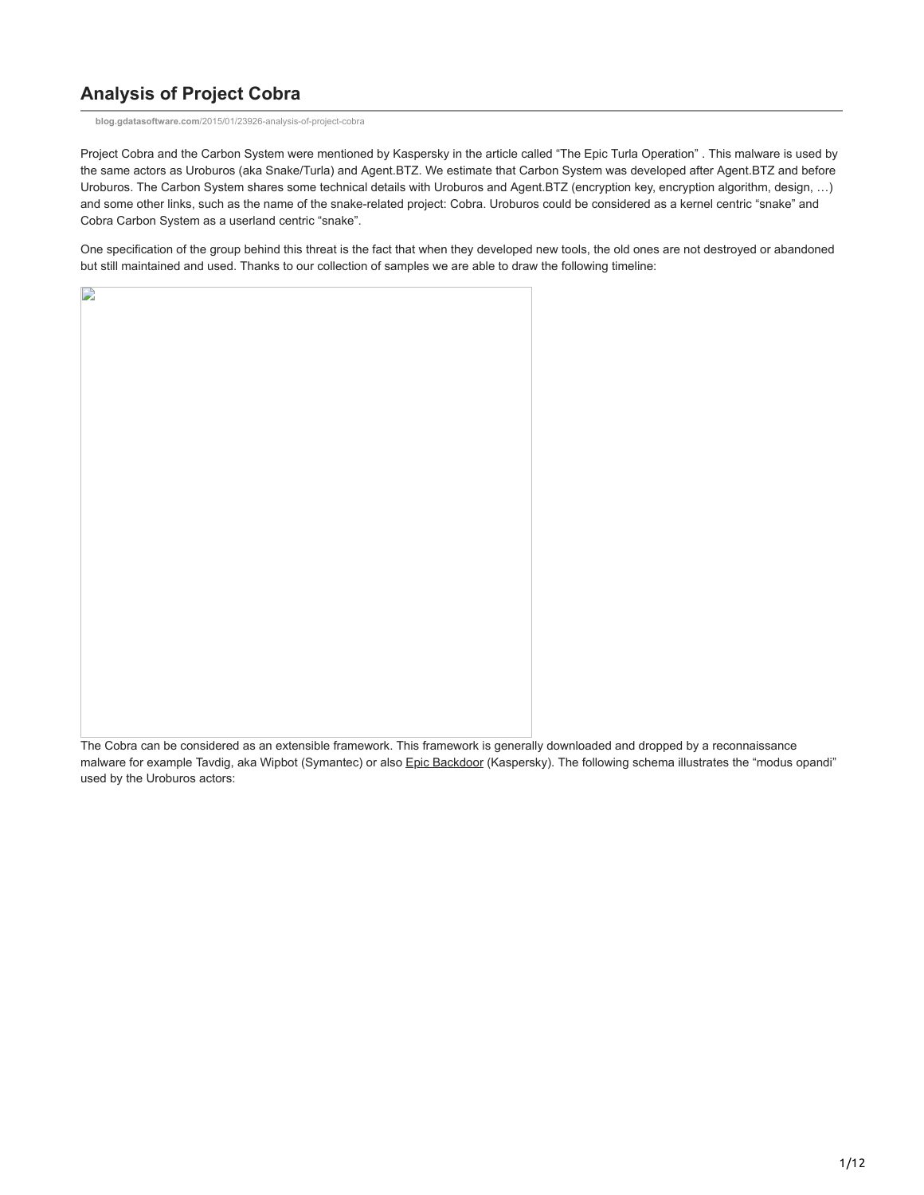# **Analysis of Project Cobra**

**blog.gdatasoftware.com**[/2015/01/23926-analysis-of-project-cobra](https://blog.gdatasoftware.com/2015/01/23926-analysis-of-project-cobra)

Project Cobra and the Carbon System were mentioned by Kaspersky in the article called "The Epic Turla Operation" . This malware is used by the same actors as Uroburos (aka Snake/Turla) and Agent.BTZ. We estimate that Carbon System was developed after Agent.BTZ and before Uroburos. The Carbon System shares some technical details with Uroburos and Agent.BTZ (encryption key, encryption algorithm, design, …) and some other links, such as the name of the snake-related project: Cobra. Uroburos could be considered as a kernel centric "snake" and Cobra Carbon System as a userland centric "snake".

One specification of the group behind this threat is the fact that when they developed new tools, the old ones are not destroyed or abandoned but still maintained and used. Thanks to our collection of samples we are able to draw the following timeline:



The Cobra can be considered as an extensible framework. This framework is generally downloaded and dropped by a reconnaissance malware for example Tavdig, aka Wipbot (Symantec) or also [Epic Backdoor](http://securelist.com/analysis/publications/65545/the-epic-turla-operation/) (Kaspersky). The following schema illustrates the "modus opandi" used by the Uroburos actors: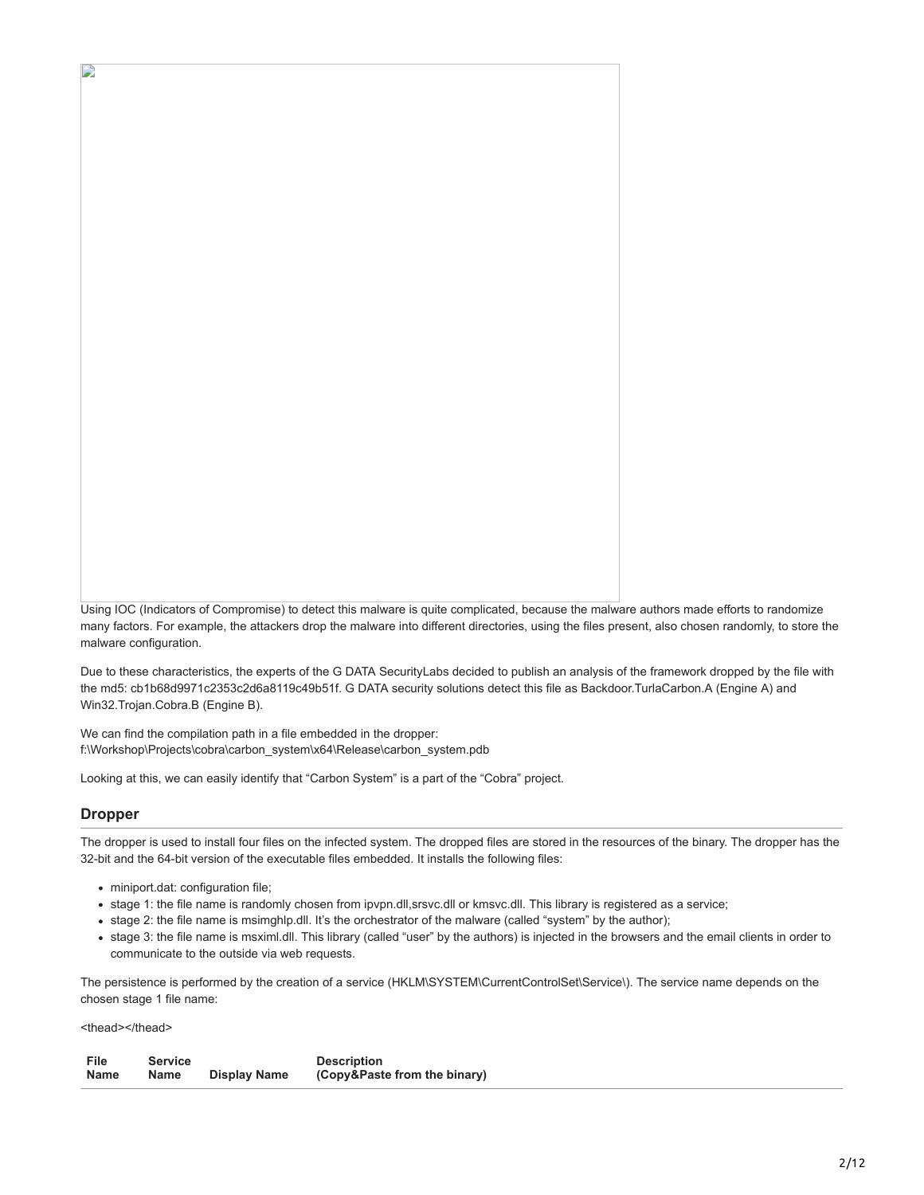Using IOC (Indicators of Compromise) to detect this malware is quite complicated, because the malware authors made efforts to randomize many factors. For example, the attackers drop the malware into different directories, using the files present, also chosen randomly, to store the malware configuration.

Due to these characteristics, the experts of the G DATA SecurityLabs decided to publish an analysis of the framework dropped by the file with the md5: cb1b68d9971c2353c2d6a8119c49b51f. G DATA security solutions detect this file as Backdoor.TurlaCarbon.A (Engine A) and Win32.Trojan.Cobra.B (Engine B).

We can find the compilation path in a file embedded in the dropper: f:\Workshop\Projects\cobra\carbon\_system\x64\Release\carbon\_system.pdb

Looking at this, we can easily identify that "Carbon System" is a part of the "Cobra" project.

# **Dropper**

D

The dropper is used to install four files on the infected system. The dropped files are stored in the resources of the binary. The dropper has the 32-bit and the 64-bit version of the executable files embedded. It installs the following files:

- miniport.dat: configuration file;
- stage 1: the file name is randomly chosen from ipvpn.dll,srsvc.dll or kmsvc.dll. This library is registered as a service;
- stage 2: the file name is msimghlp.dll. It's the orchestrator of the malware (called "system" by the author);
- stage 3: the file name is msximl.dll. This library (called "user" by the authors) is injected in the browsers and the email clients in order to communicate to the outside via web requests.

The persistence is performed by the creation of a service (HKLM\SYSTEM\CurrentControlSet\Service\). The service name depends on the chosen stage 1 file name:

<thead></thead>

| File | <b>Service</b> |                     | <b>Description</b>           |
|------|----------------|---------------------|------------------------------|
| Name | Name           | <b>Display Name</b> | (Copy&Paste from the binary) |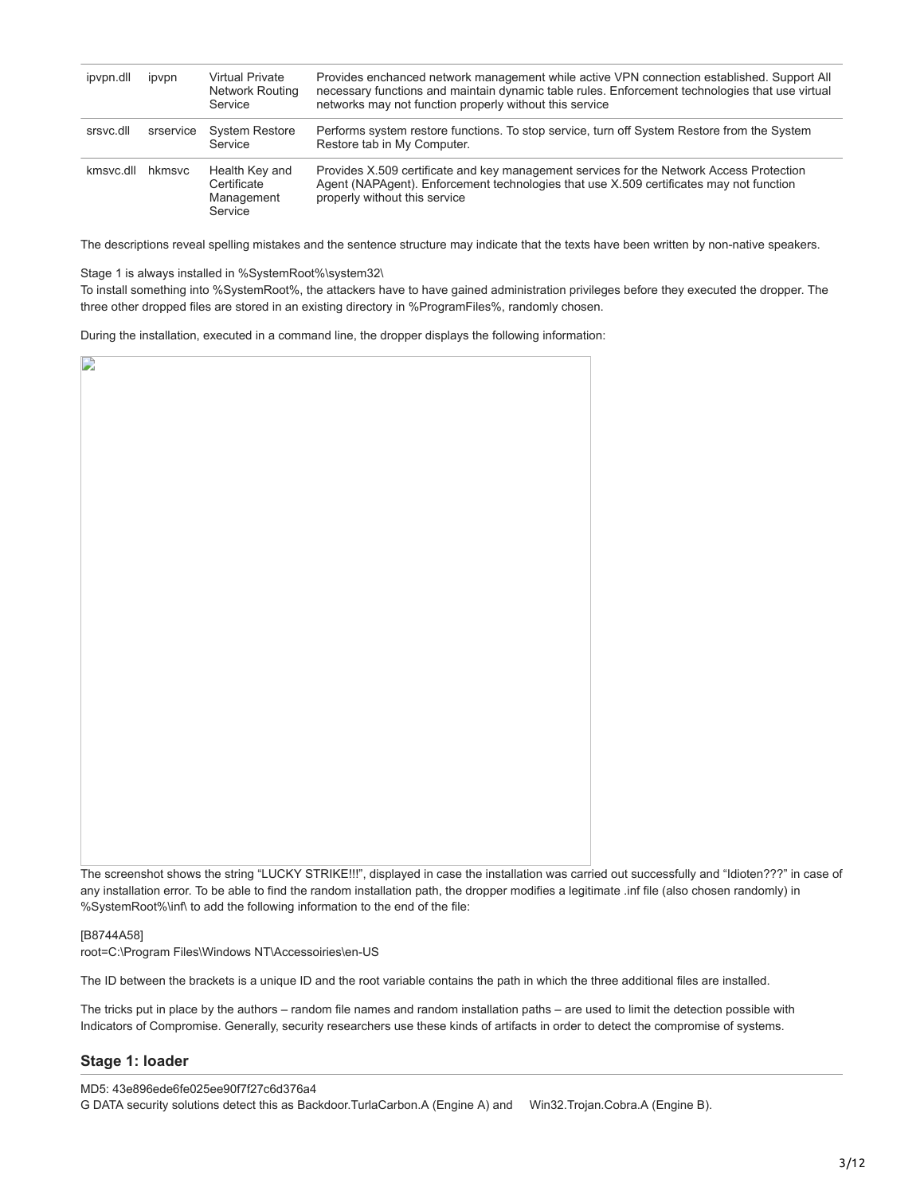| ipvpn.dll | ipvpn     | Virtual Private<br>Network Routing<br>Service          | Provides enchanced network management while active VPN connection established. Support All<br>necessary functions and maintain dynamic table rules. Enforcement technologies that use virtual<br>networks may not function properly without this service |
|-----------|-----------|--------------------------------------------------------|----------------------------------------------------------------------------------------------------------------------------------------------------------------------------------------------------------------------------------------------------------|
| srsvc.dll | srservice | <b>System Restore</b><br>Service                       | Performs system restore functions. To stop service, turn off System Restore from the System<br>Restore tab in My Computer.                                                                                                                               |
| kmsvc.dll | hkmsvc    | Health Key and<br>Certificate<br>Management<br>Service | Provides X.509 certificate and key management services for the Network Access Protection<br>Agent (NAPAgent). Enforcement technologies that use X.509 certificates may not function<br>properly without this service                                     |

The descriptions reveal spelling mistakes and the sentence structure may indicate that the texts have been written by non-native speakers.

Stage 1 is always installed in %SystemRoot%\system32\

To install something into %SystemRoot%, the attackers have to have gained administration privileges before they executed the dropper. The three other dropped files are stored in an existing directory in %ProgramFiles%, randomly chosen.

During the installation, executed in a command line, the dropper displays the following information:

| D |  |
|---|--|
|   |  |
|   |  |
|   |  |
|   |  |
|   |  |
|   |  |
|   |  |
|   |  |
|   |  |
|   |  |
|   |  |
|   |  |
|   |  |
|   |  |
|   |  |
|   |  |
|   |  |
|   |  |
|   |  |
|   |  |
|   |  |
|   |  |
|   |  |
|   |  |
|   |  |
|   |  |
|   |  |
|   |  |
|   |  |
|   |  |
|   |  |
|   |  |
|   |  |
|   |  |
|   |  |
|   |  |
|   |  |
|   |  |
|   |  |
|   |  |
|   |  |
|   |  |
|   |  |
|   |  |
|   |  |
|   |  |
|   |  |
|   |  |
|   |  |
|   |  |
|   |  |
|   |  |
|   |  |
|   |  |
|   |  |
|   |  |
|   |  |
|   |  |
|   |  |
|   |  |
|   |  |
|   |  |

The screenshot shows the string "LUCKY STRIKE!!!", displayed in case the installation was carried out successfully and "Idioten???" in case of any installation error. To be able to find the random installation path, the dropper modifies a legitimate .inf file (also chosen randomly) in %SystemRoot%\inf\ to add the following information to the end of the file:

[B8744A58]

root=C:\Program Files\Windows NT\Accessoiries\en-US

The ID between the brackets is a unique ID and the root variable contains the path in which the three additional files are installed.

The tricks put in place by the authors – random file names and random installation paths – are used to limit the detection possible with Indicators of Compromise. Generally, security researchers use these kinds of artifacts in order to detect the compromise of systems.

### **Stage 1: loader**

MD5: 43e896ede6fe025ee90f7f27c6d376a4

G DATA security solutions detect this as Backdoor.TurlaCarbon.A (Engine A) and Win32.Trojan.Cobra.A (Engine B).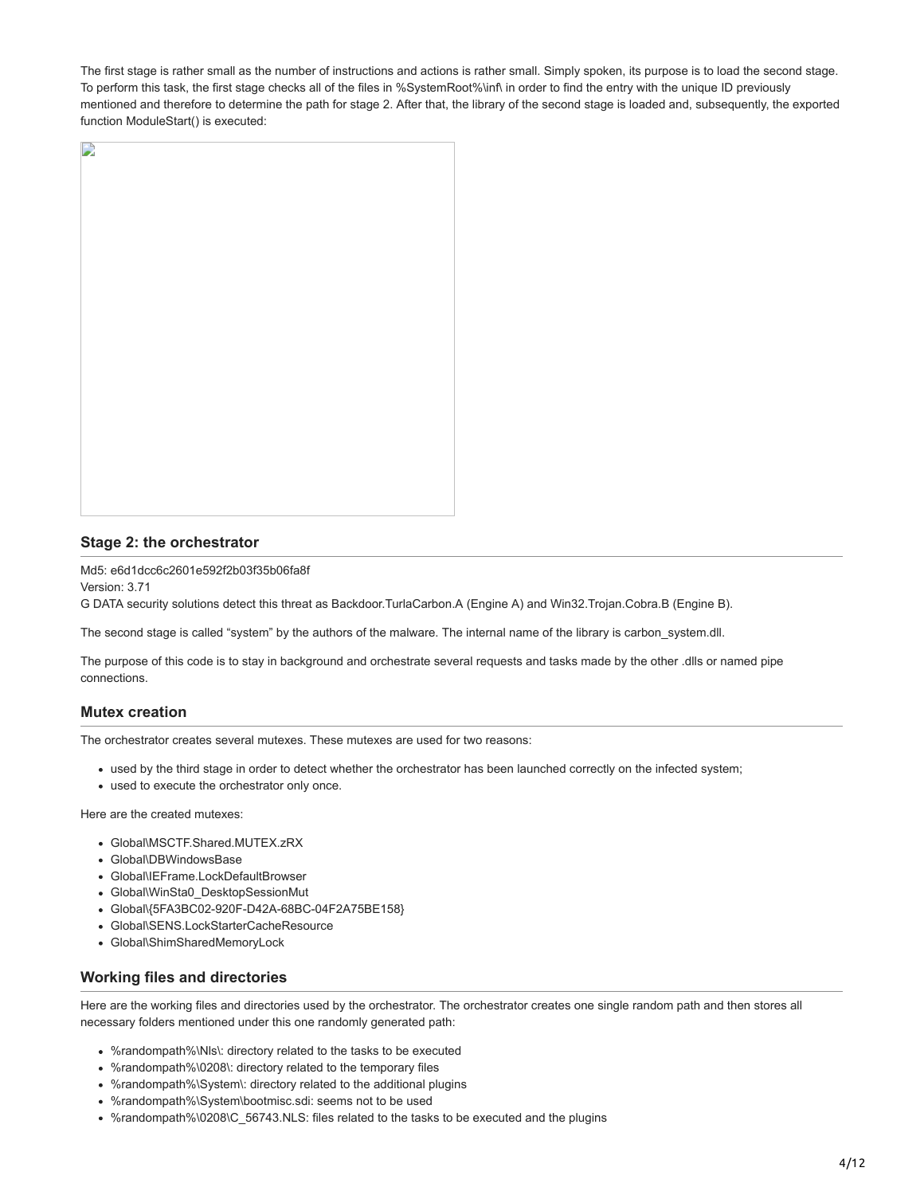The first stage is rather small as the number of instructions and actions is rather small. Simply spoken, its purpose is to load the second stage. To perform this task, the first stage checks all of the files in %SystemRoot%\inf\ in order to find the entry with the unique ID previously mentioned and therefore to determine the path for stage 2. After that, the library of the second stage is loaded and, subsequently, the exported function ModuleStart() is executed:



## **Stage 2: the orchestrator**

Md5: e6d1dcc6c2601e592f2b03f35b06fa8f Version: 3.71

G DATA security solutions detect this threat as Backdoor.TurlaCarbon.A (Engine A) and Win32.Trojan.Cobra.B (Engine B).

The second stage is called "system" by the authors of the malware. The internal name of the library is carbon\_system.dll.

The purpose of this code is to stay in background and orchestrate several requests and tasks made by the other .dlls or named pipe connections.

## **Mutex creation**

The orchestrator creates several mutexes. These mutexes are used for two reasons:

- used by the third stage in order to detect whether the orchestrator has been launched correctly on the infected system;
- used to execute the orchestrator only once.

Here are the created mutexes:

- Global\MSCTF.Shared.MUTEX.zRX
- Global\DBWindowsBase
- Global\IEFrame.LockDefaultBrowser
- Global\WinSta0\_DesktopSessionMut
- Global\{5FA3BC02-920F-D42A-68BC-04F2A75BE158}
- Global\SENS.LockStarterCacheResource
- Global\ShimSharedMemoryLock

## **Working files and directories**

Here are the working files and directories used by the orchestrator. The orchestrator creates one single random path and then stores all necessary folders mentioned under this one randomly generated path:

- %randompath%\Nls\: directory related to the tasks to be executed
- %randompath%\0208\: directory related to the temporary files
- %randompath%\System\: directory related to the additional plugins
- %randompath%\System\bootmisc.sdi: seems not to be used
- %randompath%\0208\C\_56743.NLS: files related to the tasks to be executed and the plugins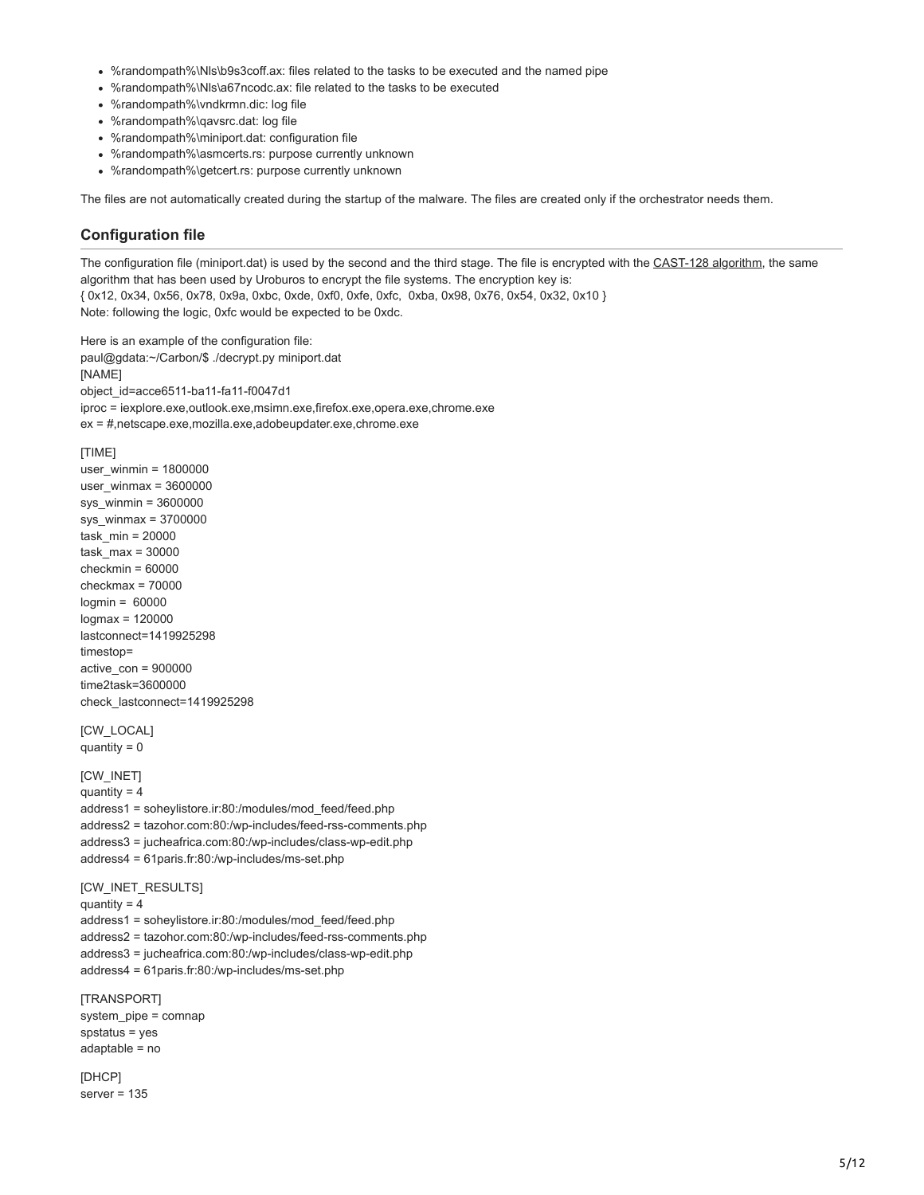- %randompath%\Nls\b9s3coff.ax: files related to the tasks to be executed and the named pipe
- %randompath%\Nls\a67ncodc.ax: file related to the tasks to be executed
- %randompath%\vndkrmn.dic: log file
- %randompath%\qavsrc.dat: log file
- %randompath%\miniport.dat: configuration file
- %randompath%\asmcerts.rs: purpose currently unknown
- %randompath%\getcert.rs: purpose currently unknown

The files are not automatically created during the startup of the malware. The files are created only if the orchestrator needs them.

### **Configuration file**

The configuration file (miniport.dat) is used by the second and the third stage. The file is encrypted with the [CAST-128 algorithm](http://en.wikipedia.org/wiki/CAST-128), the same algorithm that has been used by Uroburos to encrypt the file systems. The encryption key is: { 0x12, 0x34, 0x56, 0x78, 0x9a, 0xbc, 0xde, 0xf0, 0xfe, 0xfc, 0xba, 0x98, 0x76, 0x54, 0x32, 0x10 } Note: following the logic, 0xfc would be expected to be 0xdc.

Here is an example of the configuration file: paul@gdata:~/Carbon/\$ ./decrypt.py miniport.dat [NAME] object\_id=acce6511-ba11-fa11-f0047d1 iproc = iexplore.exe,outlook.exe,msimn.exe,firefox.exe,opera.exe,chrome.exe ex = #,netscape.exe,mozilla.exe,adobeupdater.exe,chrome.exe

#### [TIME]

user\_winmin = 1800000 user\_winmax = 3600000 sys\_winmin = 3600000 sys\_winmax = 3700000 task\_min = 20000 task  $max = 30000$ checkmin = 60000 checkmax = 70000  $Ioamin = 60000$ logmax = 120000 lastconnect=1419925298 timestop= active\_con = 900000 time2task=3600000 check\_lastconnect=1419925298

**[CW\_LOCAL]** quantity  $= 0$ 

### [CW\_INET]

quantity  $= 4$ 

address1 = soheylistore.ir:80:/modules/mod\_feed/feed.php address2 = tazohor.com:80:/wp-includes/feed-rss-comments.php address3 = jucheafrica.com:80:/wp-includes/class-wp-edit.php address4 = 61paris.fr:80:/wp-includes/ms-set.php

[CW\_INET\_RESULTS]

quantity  $= 4$ 

address1 = soheylistore.ir:80:/modules/mod\_feed/feed.php address2 = tazohor.com:80:/wp-includes/feed-rss-comments.php address3 = jucheafrica.com:80:/wp-includes/class-wp-edit.php address4 = 61paris.fr:80:/wp-includes/ms-set.php

[TRANSPORT] system\_pipe = comnap spstatus = yes adaptable = no

[DHCP] server = 135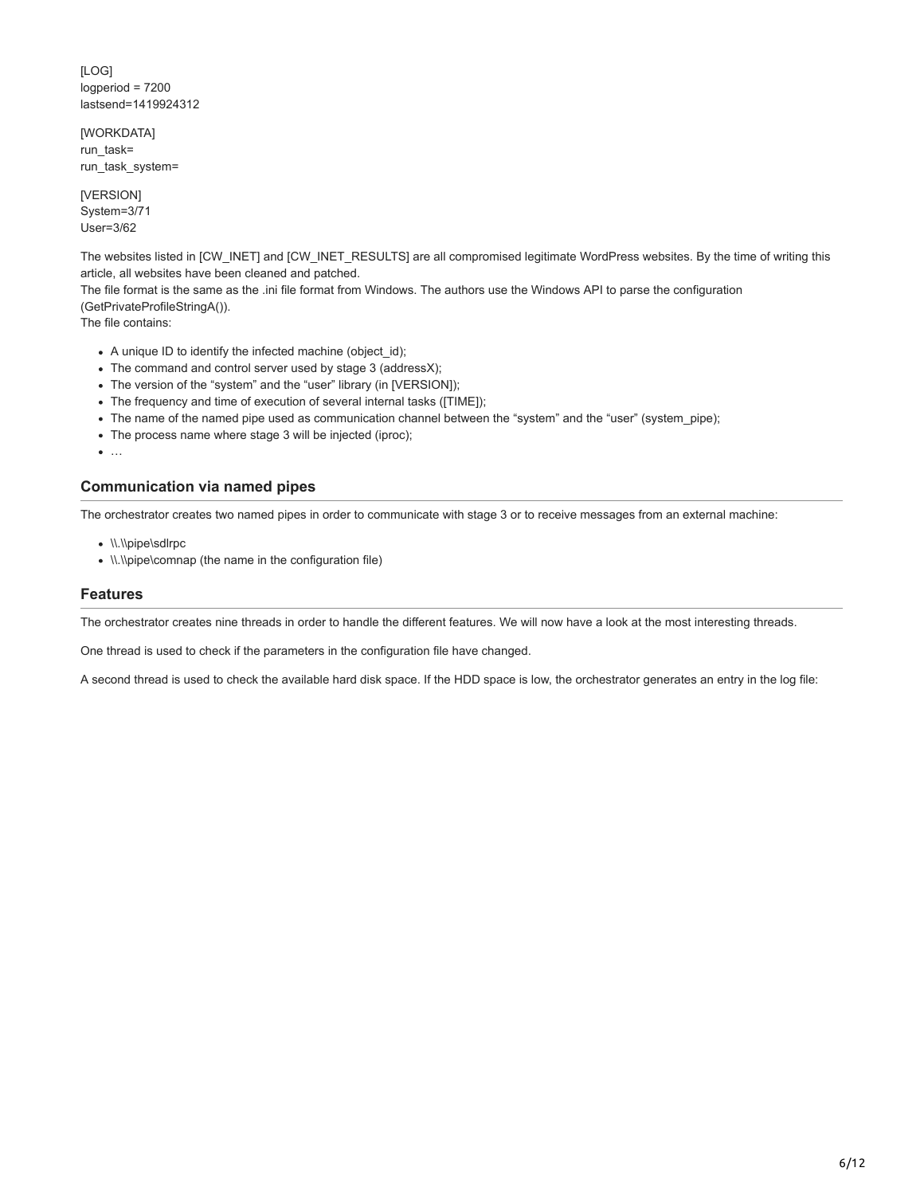[LOG] logperiod = 7200 lastsend=1419924312

[WORKDATA] run\_task= run\_task\_system=

[VERSION] System=3/71 User=3/62

The websites listed in [CW\_INET] and [CW\_INET\_RESULTS] are all compromised legitimate WordPress websites. By the time of writing this article, all websites have been cleaned and patched.

The file format is the same as the .ini file format from Windows. The authors use the Windows API to parse the configuration (GetPrivateProfileStringA()).

The file contains:

- A unique ID to identify the infected machine (object\_id);
- The command and control server used by stage 3 (addressX);
- The version of the "system" and the "user" library (in [VERSION]);
- The frequency and time of execution of several internal tasks ([TIME]);
- The name of the named pipe used as communication channel between the "system" and the "user" (system\_pipe);
- The process name where stage 3 will be injected (iproc);
- $\bullet$  ...

## **Communication via named pipes**

The orchestrator creates two named pipes in order to communicate with stage 3 or to receive messages from an external machine:

- \\.\\pipe\sdlrpc
- \\.\\pipe\comnap (the name in the configuration file)

#### **Features**

The orchestrator creates nine threads in order to handle the different features. We will now have a look at the most interesting threads.

One thread is used to check if the parameters in the configuration file have changed.

A second thread is used to check the available hard disk space. If the HDD space is low, the orchestrator generates an entry in the log file: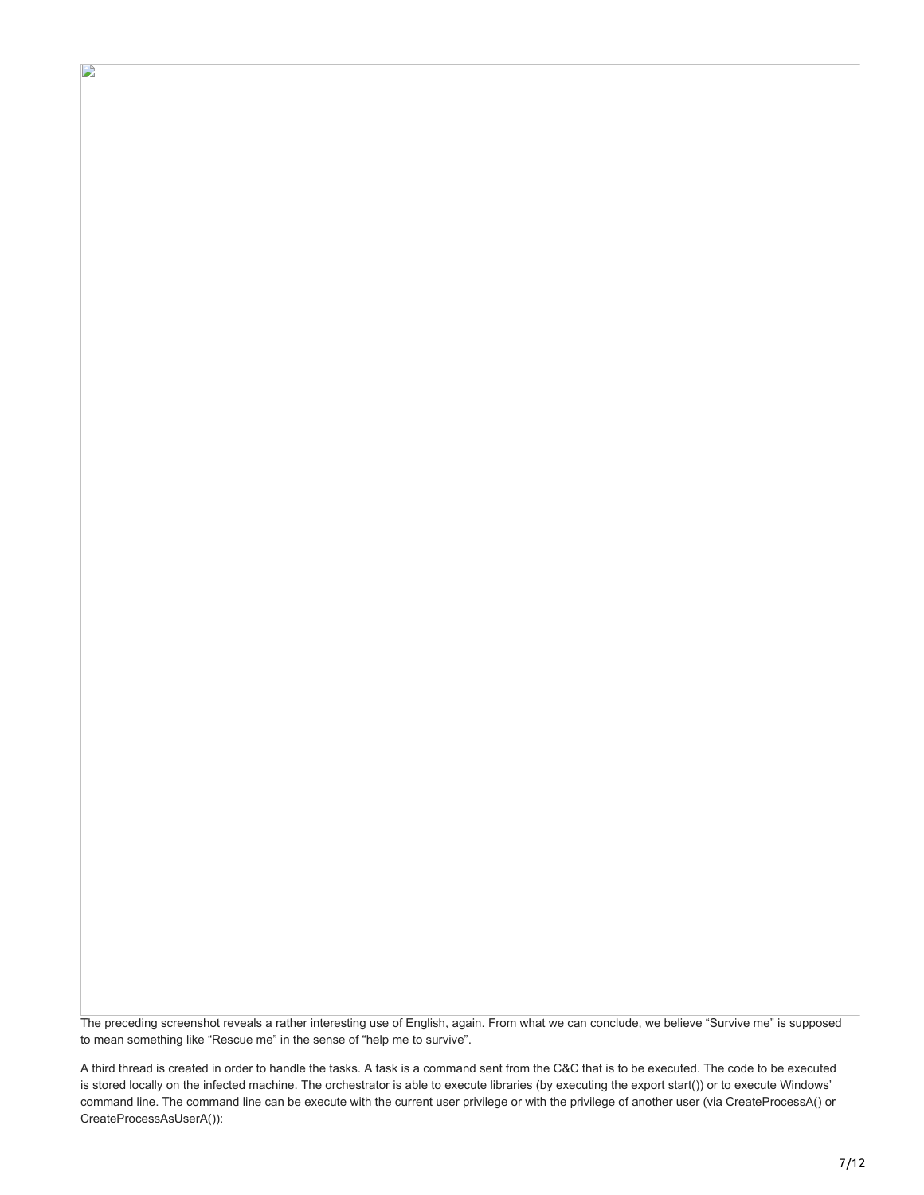The preceding screenshot reveals a rather interesting use of English, again. From what we can conclude, we believe "Survive me" is supposed to mean something like "Rescue me" in the sense of "help me to survive".

D

A third thread is created in order to handle the tasks. A task is a command sent from the C&C that is to be executed. The code to be executed is stored locally on the infected machine. The orchestrator is able to execute libraries (by executing the export start()) or to execute Windows' command line. The command line can be execute with the current user privilege or with the privilege of another user (via CreateProcessA() or CreateProcessAsUserA()):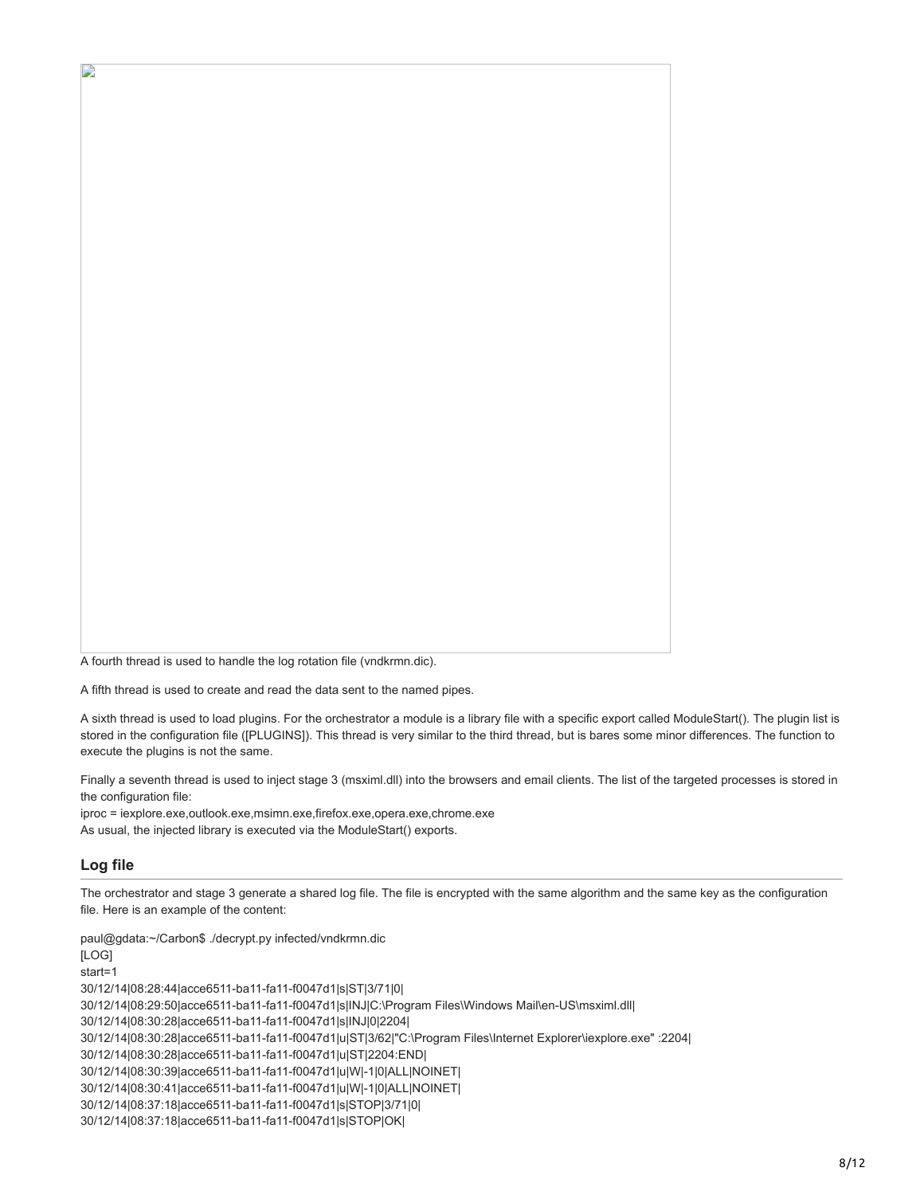A fourth thread is used to handle the log rotation file (vndkrmn.dic).

A fifth thread is used to create and read the data sent to the named pipes.

A sixth thread is used to load plugins. For the orchestrator a module is a library file with a specific export called ModuleStart(). The plugin list is stored in the configuration file ([PLUGINS]). This thread is very similar to the third thread, but is bares some minor differences. The function to execute the plugins is not the same.

Finally a seventh thread is used to inject stage 3 (msximl.dll) into the browsers and email clients. The list of the targeted processes is stored in the configuration file:

iproc = iexplore.exe,outlook.exe,msimn.exe,firefox.exe,opera.exe,chrome.exe As usual, the injected library is executed via the ModuleStart() exports.

## **Log file**

D

The orchestrator and stage 3 generate a shared log file. The file is encrypted with the same algorithm and the same key as the configuration file. Here is an example of the content:

paul@gdata:~/Carbon\$ ./decrypt.py infected/vndkrmn.dic [LOG] start=1 30/12/14|08:28:44|acce6511-ba11-fa11-f0047d1|s|ST|3/71|0| 30/12/14|08:29:50|acce6511-ba11-fa11-f0047d1|s|INJ|C:\Program Files\Windows Mail\en-US\msximl.dll| 30/12/14|08:30:28|acce6511-ba11-fa11-f0047d1|s|INJ|0|2204| 30/12/14|08:30:28|acce6511-ba11-fa11-f0047d1|u|ST|3/62|"C:\Program Files\Internet Explorer\iexplore.exe" :2204| 30/12/14|08:30:28|acce6511-ba11-fa11-f0047d1|u|ST|2204:END| 30/12/14|08:30:39|acce6511-ba11-fa11-f0047d1|u|W|-1|0|ALL|NOINET| 30/12/14|08:30:41|acce6511-ba11-fa11-f0047d1|u|W|-1|0|ALL|NOINET| 30/12/14|08:37:18|acce6511-ba11-fa11-f0047d1|s|STOP|3/71|0| 30/12/14|08:37:18|acce6511-ba11-fa11-f0047d1|s|STOP|OK|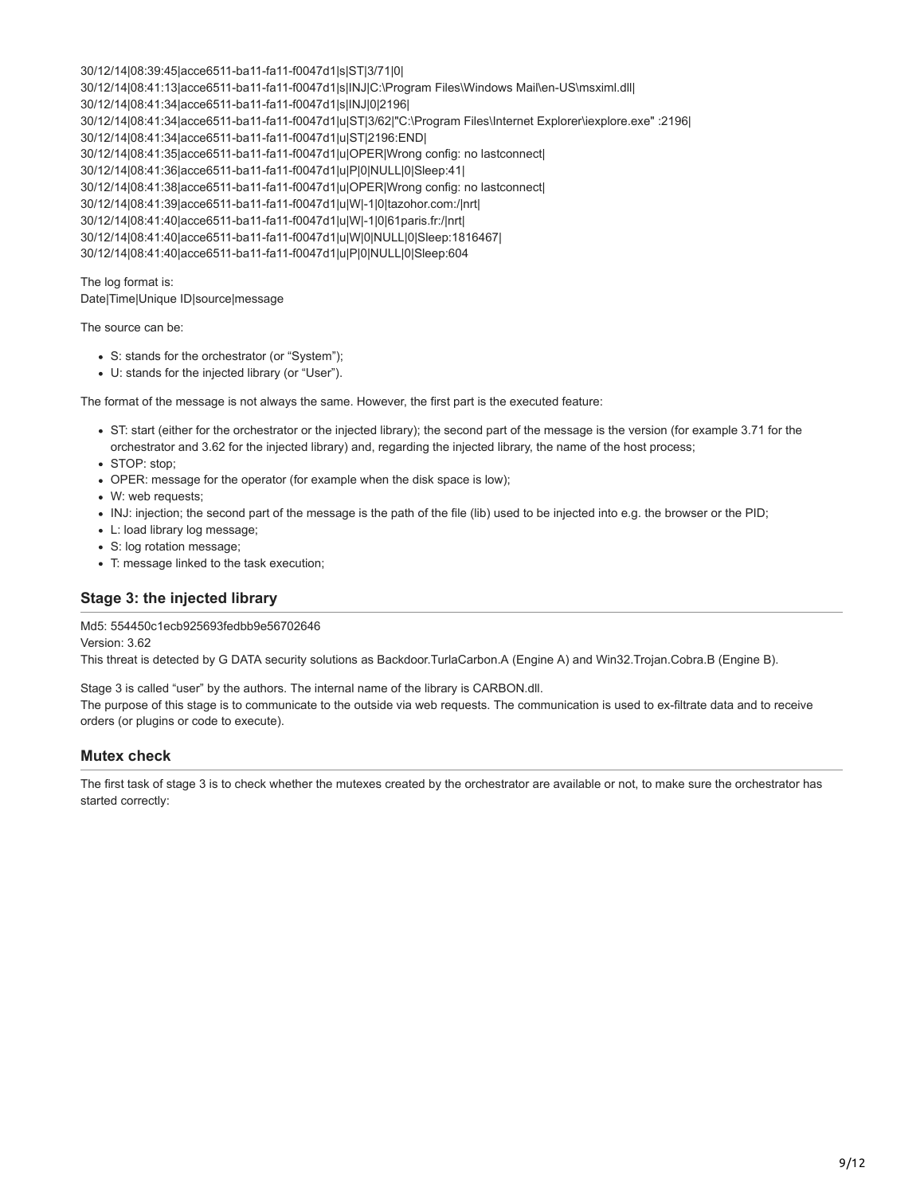30/12/14|08:39:45|acce6511-ba11-fa11-f0047d1|s|ST|3/71|0| 30/12/14|08:41:13|acce6511-ba11-fa11-f0047d1|s|INJ|C:\Program Files\Windows Mail\en-US\msximl.dll| 30/12/14|08:41:34|acce6511-ba11-fa11-f0047d1|s|INJ|0|2196| 30/12/14|08:41:34|acce6511-ba11-fa11-f0047d1|u|ST|3/62|"C:\Program Files\Internet Explorer\iexplore.exe" :2196| 30/12/14|08:41:34|acce6511-ba11-fa11-f0047d1|u|ST|2196:END| 30/12/14|08:41:35|acce6511-ba11-fa11-f0047d1|u|OPER|Wrong config: no lastconnect| 30/12/14|08:41:36|acce6511-ba11-fa11-f0047d1|u|P|0|NULL|0|Sleep:41| 30/12/14|08:41:38|acce6511-ba11-fa11-f0047d1|u|OPER|Wrong config: no lastconnect| 30/12/14|08:41:39|acce6511-ba11-fa11-f0047d1|u|W|-1|0|tazohor.com:/|nrt| 30/12/14|08:41:40|acce6511-ba11-fa11-f0047d1|u|W|-1|0|61paris.fr:/|nrt| 30/12/14|08:41:40|acce6511-ba11-fa11-f0047d1|u|W|0|NULL|0|Sleep:1816467| 30/12/14|08:41:40|acce6511-ba11-fa11-f0047d1|u|P|0|NULL|0|Sleep:604

The log format is: Date|Time|Unique ID|source|message

The source can be:

- S: stands for the orchestrator (or "System");
- U: stands for the injected library (or "User").

The format of the message is not always the same. However, the first part is the executed feature:

- ST: start (either for the orchestrator or the injected library); the second part of the message is the version (for example 3.71 for the orchestrator and 3.62 for the injected library) and, regarding the injected library, the name of the host process;
- STOP: stop;
- OPER: message for the operator (for example when the disk space is low);
- W: web requests;
- INJ: injection; the second part of the message is the path of the file (lib) used to be injected into e.g. the browser or the PID;
- L: load library log message;
- S: log rotation message;
- T: message linked to the task execution;

### **Stage 3: the injected library**

#### Md5: 554450c1ecb925693fedbb9e56702646

Version: 3.62

This threat is detected by G DATA security solutions as Backdoor.TurlaCarbon.A (Engine A) and Win32.Trojan.Cobra.B (Engine B).

Stage 3 is called "user" by the authors. The internal name of the library is CARBON.dll.

The purpose of this stage is to communicate to the outside via web requests. The communication is used to ex-filtrate data and to receive orders (or plugins or code to execute).

### **Mutex check**

The first task of stage 3 is to check whether the mutexes created by the orchestrator are available or not, to make sure the orchestrator has started correctly: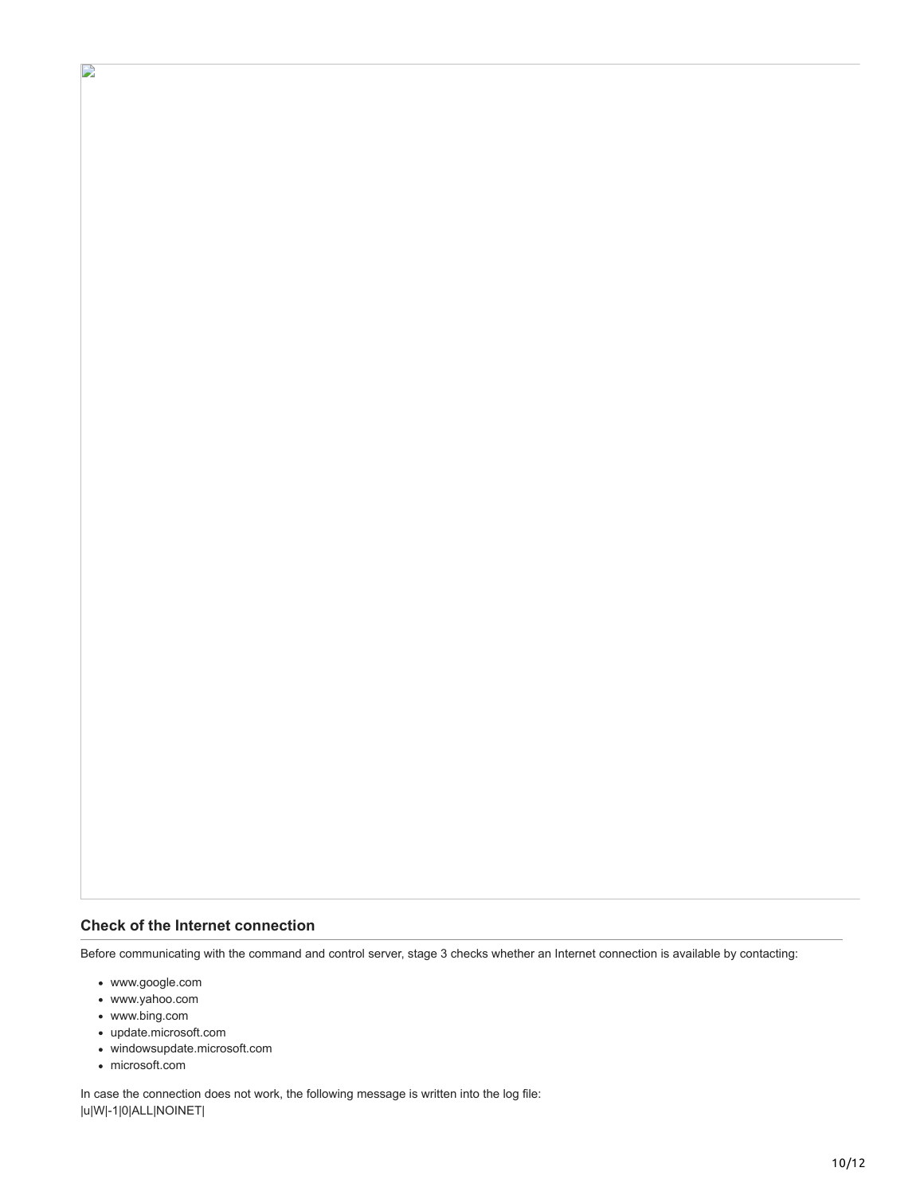## **Check of the Internet connection**

Before communicating with the command and control server, stage 3 checks whether an Internet connection is available by contacting:

www.google.com

 $\mathbf{D}$ 

- www.yahoo.com
- www.bing.com
- update.microsoft.com
- windowsupdate.microsoft.com
- microsoft.com

In case the connection does not work, the following message is written into the log file: |u|W|-1|0|ALL|NOINET|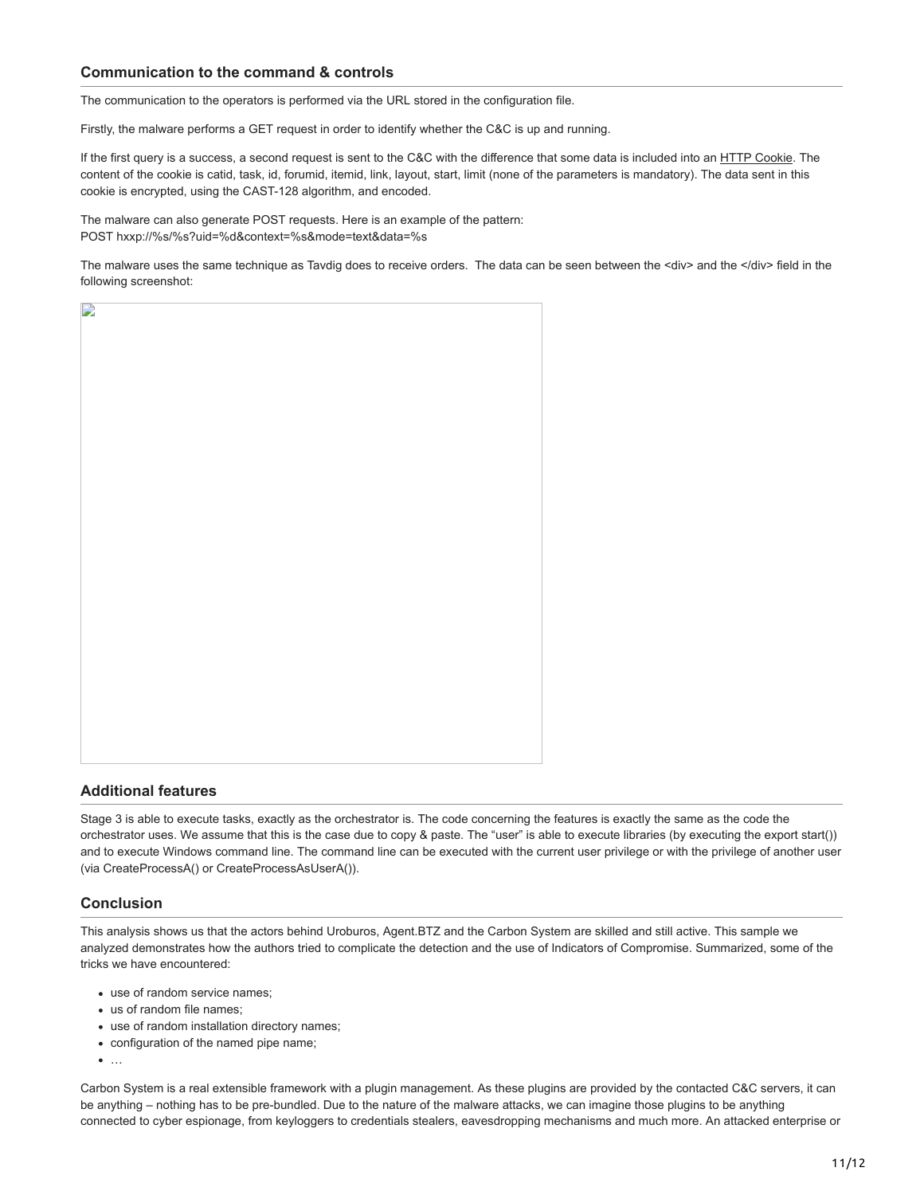## **Communication to the command & controls**

The communication to the operators is performed via the URL stored in the configuration file.

Firstly, the malware performs a GET request in order to identify whether the C&C is up and running.

If the first query is a success, a second request is sent to the C&C with the difference that some data is included into an [HTTP Cookie.](http://en.wikipedia.org/wiki/HTTP_cookie) The content of the cookie is catid, task, id, forumid, itemid, link, layout, start, limit (none of the parameters is mandatory). The data sent in this cookie is encrypted, using the CAST-128 algorithm, and encoded.

The malware can also generate POST requests. Here is an example of the pattern: POST hxxp://%s/%s?uid=%d&context=%s&mode=text&data=%s

The malware uses the same technique as Tavdig does to receive orders. The data can be seen between the <div> and the </div> field in the following screenshot:

|  | $\overline{\mathcal{L}}$ |  |
|--|--------------------------|--|
|  |                          |  |
|  |                          |  |
|  |                          |  |
|  |                          |  |
|  |                          |  |
|  |                          |  |
|  |                          |  |
|  |                          |  |
|  |                          |  |
|  |                          |  |
|  |                          |  |
|  |                          |  |
|  |                          |  |
|  |                          |  |
|  |                          |  |
|  |                          |  |
|  |                          |  |
|  |                          |  |
|  |                          |  |
|  |                          |  |
|  |                          |  |
|  |                          |  |
|  |                          |  |
|  |                          |  |
|  |                          |  |
|  |                          |  |
|  |                          |  |
|  |                          |  |
|  |                          |  |
|  |                          |  |
|  |                          |  |
|  |                          |  |
|  |                          |  |
|  |                          |  |
|  |                          |  |
|  |                          |  |

## **Additional features**

Stage 3 is able to execute tasks, exactly as the orchestrator is. The code concerning the features is exactly the same as the code the orchestrator uses. We assume that this is the case due to copy & paste. The "user" is able to execute libraries (by executing the export start()) and to execute Windows command line. The command line can be executed with the current user privilege or with the privilege of another user (via CreateProcessA() or CreateProcessAsUserA()).

## **Conclusion**

 $\overline{\phantom{a}}$ 

This analysis shows us that the actors behind Uroburos, Agent.BTZ and the Carbon System are skilled and still active. This sample we analyzed demonstrates how the authors tried to complicate the detection and the use of Indicators of Compromise. Summarized, some of the tricks we have encountered:

- use of random service names;
- us of random file names;
- use of random installation directory names;
- configuration of the named pipe name;
- $\bullet$  ...

Carbon System is a real extensible framework with a plugin management. As these plugins are provided by the contacted C&C servers, it can be anything – nothing has to be pre-bundled. Due to the nature of the malware attacks, we can imagine those plugins to be anything connected to cyber espionage, from keyloggers to credentials stealers, eavesdropping mechanisms and much more. An attacked enterprise or